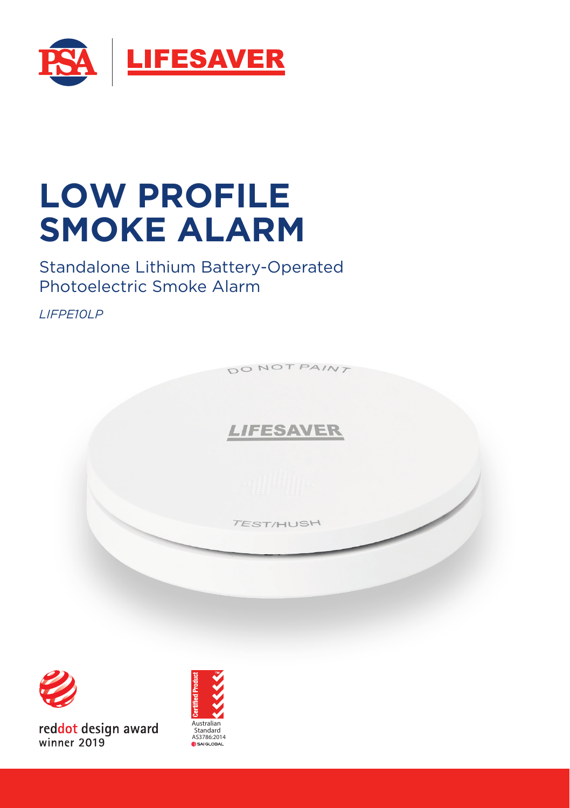

# **LOW PROFILE SMOKE ALARM**

Standalone Lithium Battery-Operated Photoelectric Smoke Alarm

*LIFPE10LP*





reddot design award winner 2019